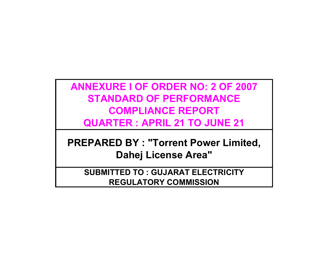# **ANNEXURE I OF ORDER NO: 2 OF 2007 STANDARD OF PERFORMANCE COMPLIANCE REPORT QUARTER : APRIL 21 TO JUNE 21**

**PREPARED BY : "Torrent Power Limited, Dahej License Area"**

**SUBMITTED TO : GUJARAT ELECTRICITY REGULATORY COMMISSION**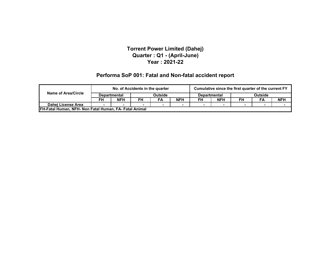#### **Performa SoP 001: Fatal and Non-fatal accident report**

|                                                              |    | No. of Accidents in the quarter |                                       |    |            | Cumulative since the first quarter of the current FY |                |    |    |            |
|--------------------------------------------------------------|----|---------------------------------|---------------------------------------|----|------------|------------------------------------------------------|----------------|----|----|------------|
| <b>Name of Area/Circle</b>                                   |    | <b>Departmental</b>             | <b>Outside</b><br><b>Departmental</b> |    |            |                                                      | <b>Outside</b> |    |    |            |
|                                                              | FH | <b>NFH</b>                      | FH                                    | FA | <b>NFH</b> | FH                                                   | <b>NFH</b>     | FH | FA | <b>NFH</b> |
| Dahej License Area                                           |    |                                 |                                       |    |            |                                                      |                |    |    |            |
| <b>FH-Fatal Human, NFH- Non Fatal Human, FA-Fatal Animal</b> |    |                                 |                                       |    |            |                                                      |                |    |    |            |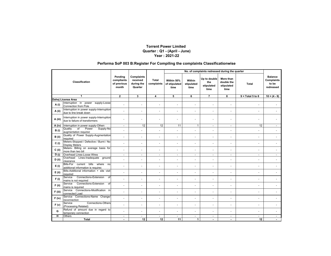#### **Performa SoP 003 B:Register For Compiling the complaints Classificationwise**

|                       |                                                                              |                                               |                                                 |                          | No. of complaints redressed during the quarter |                              |                                           |                                               |                          |                                                           |
|-----------------------|------------------------------------------------------------------------------|-----------------------------------------------|-------------------------------------------------|--------------------------|------------------------------------------------|------------------------------|-------------------------------------------|-----------------------------------------------|--------------------------|-----------------------------------------------------------|
| <b>Classification</b> |                                                                              | Pending<br>compliants<br>of previous<br>month | Complaints<br>received<br>during the<br>Quarter | Total<br>complaints      | Within 50%<br>of stipulated<br>time            | Within<br>stipulated<br>time | Up to double<br>the<br>stipulated<br>time | More than<br>double the<br>stipulated<br>time | Total                    | <b>Balance</b><br><b>Complaints</b><br>to be<br>redressed |
|                       | $\mathbf{1}$                                                                 | $\mathbf{2}$                                  | 3                                               | 4                        | 5                                              | 6                            | $\overline{7}$                            | 8                                             | $9 = Total 5 to 8$       | $10 = (4 - 9)$                                            |
|                       | Dahej License Area                                                           |                                               |                                                 |                          |                                                |                              |                                           |                                               |                          |                                                           |
| A(i)                  | Interruption in power supply-Loose<br>Connection from Pole                   | $\overline{\phantom{a}}$                      | $\sim$                                          | ÷.                       | ÷.                                             | $\blacksquare$               | $\overline{\phantom{a}}$                  | $\overline{\phantom{a}}$                      | $\sim$                   |                                                           |
| A (ii)                | Interruption in power supply-Interruption<br>due to line break down          |                                               | $\overline{\phantom{a}}$                        | ä,                       | ÷                                              | ٠                            | $\blacksquare$                            | $\sim$                                        |                          |                                                           |
| A (iii)               | Interruption in power supply-Interruption<br>due to failure of transformers  |                                               |                                                 | ٠                        |                                                |                              |                                           |                                               |                          |                                                           |
| A (iv)                | Interruption in power supply-Others                                          | $\sim$                                        | 12                                              | 12                       | 11                                             | $\mathbf{1}$                 | $\mathbf{r}$                              | $\sim$                                        | 12                       | $\sim$                                                    |
| B(i)                  | Quality<br>$\overline{of}$<br>Power<br>Supply-No<br>augmentation required    |                                               |                                                 | L,                       | L.                                             |                              | $\overline{\phantom{a}}$                  |                                               |                          |                                                           |
| B (ii)                | Quality of Power Supply-Augmentation<br>required                             |                                               | $\ddot{\phantom{1}}$                            | ÷.                       | ÷.                                             | ٠                            | $\ddot{\phantom{1}}$                      | $\blacksquare$                                | $\sim$                   | $\sim$                                                    |
| C(i)                  | Meters-Stopped / Defective / Burnt / No<br><b>Display Meters</b>             |                                               | $\ddot{\phantom{1}}$                            | ä,                       | ÷                                              | ٠                            | $\blacksquare$                            | $\overline{\phantom{a}}$                      | $\ddot{\phantom{1}}$     |                                                           |
| $C$ (ii)              | Meters- Billing on average basis for<br>more than two bill                   | $\overline{\phantom{a}}$                      | $\overline{a}$                                  | L.                       | ÷.                                             | $\blacksquare$               | $\ddot{\phantom{1}}$                      | $\sim$                                        | $\sim$                   |                                                           |
| D(i)                  | Overhead Lines-Loose Wires                                                   | $\sim$                                        | $\sim$                                          | $\sim$                   | $\blacksquare$                                 | $\blacksquare$               | $\blacksquare$                            | $\overline{\phantom{a}}$                      | $\sim$                   | $\sim$                                                    |
| $D$ (ii)              | Overhead Lines-Inadequate ground<br>clearance                                |                                               | $\ddot{\phantom{1}}$                            | $\blacksquare$           | ٠                                              | ٠                            | $\blacksquare$                            | $\overline{\phantom{a}}$                      | $\blacksquare$           |                                                           |
| E(i)                  | Bills-For current bills<br>where<br>no<br>additional information is required | $\sim$                                        | $\sim$                                          | ÷.                       | ÷.                                             | $\blacksquare$               | $\blacksquare$                            | $\sim$                                        | $\overline{a}$           |                                                           |
| $E$ (ii)              | Bills-Additional information + site visit<br>required                        |                                               |                                                 | ÷.                       | ÷.                                             | $\overline{a}$               | $\ddot{\phantom{1}}$                      | $\overline{\phantom{a}}$                      |                          |                                                           |
| F(i)                  | <b>Connections-Extension</b><br>Service<br>of<br>mains is not required       |                                               |                                                 | $\blacksquare$           | ٠                                              | $\overline{a}$               | $\blacksquare$                            |                                               |                          |                                                           |
| $F$ (ii)              | Connections-Extension<br>Service<br>of<br>mains is required                  |                                               | $\overline{a}$                                  | ÷.                       | ÷                                              | ٠                            | $\ddot{\phantom{1}}$                      | $\sim$                                        | $\ddot{\phantom{1}}$     | ÷.                                                        |
| F (iii)               | Service Connections-Modification in<br>connected Load                        |                                               | $\blacksquare$                                  | $\overline{\phantom{a}}$ | ٠                                              | ٠                            | $\blacksquare$                            |                                               |                          |                                                           |
| $F$ (iv)              | Service Connections-Name Change/<br>reconnection                             | ÷.                                            | $\overline{a}$                                  | ä,                       | ä,                                             | ٠                            | $\blacksquare$                            | $\sim$                                        | ÷,                       |                                                           |
| F(v)                  | <b>Connections-Others</b><br>Service<br>(Processing Related)                 | $\overline{\phantom{a}}$                      | $\overline{\phantom{a}}$                        | ÷.                       | ٠                                              | $\overline{a}$               | $\ddot{\phantom{1}}$                      | $\sim$                                        | ÷                        |                                                           |
| G                     | Refund of amount due in regard to<br>temporary connection                    |                                               | $\sim$                                          | $\ddot{\phantom{1}}$     | $\blacksquare$                                 | ٠                            | $\overline{\phantom{a}}$                  | $\overline{\phantom{a}}$                      | $\overline{\phantom{a}}$ |                                                           |
| н                     | <b>Others</b>                                                                | $\sim$                                        | $\sim$                                          | $\blacksquare$           | $\overline{\phantom{0}}$                       | $\sim$                       | $\blacksquare$                            | $\sim$                                        | $\sim$                   | $\sim$                                                    |
|                       | Total                                                                        |                                               | 12                                              | 12                       | 11                                             | $\mathbf{1}$                 |                                           | $\overline{\phantom{a}}$                      | 12                       |                                                           |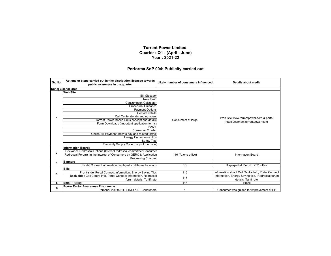#### **Performa SoP 004: Publicity carried out**

| Sr. No.      | Actions or steps carried out by the distribution licensee towards<br>public awareness in the quarter | Likely number of consumers influenced | Details about media                                |  |
|--------------|------------------------------------------------------------------------------------------------------|---------------------------------------|----------------------------------------------------|--|
|              | Dahej License area                                                                                   |                                       |                                                    |  |
|              | <b>Web Site</b>                                                                                      |                                       |                                                    |  |
|              | <b>Bill Glossary</b>                                                                                 |                                       |                                                    |  |
|              | <b>New Tariff</b>                                                                                    |                                       |                                                    |  |
|              | <b>Consumption Calculator</b>                                                                        |                                       |                                                    |  |
|              | <b>Procedural Guidance</b>                                                                           |                                       |                                                    |  |
|              |                                                                                                      |                                       |                                                    |  |
|              | <b>Payment Options</b><br>Contact details                                                            |                                       |                                                    |  |
|              | Call Center details and numbers                                                                      |                                       | Web Site www.torrentpower.com & portal             |  |
| 1            | Torrent Power Mobile Links concept and details                                                       | Consumers at large                    | https://connect.torrentpower.com                   |  |
|              | Form Downloads (important application forms)                                                         |                                       |                                                    |  |
|              | FAQ's                                                                                                |                                       |                                                    |  |
|              | <b>Consumer Charter</b>                                                                              |                                       |                                                    |  |
|              | Online Bill Payment (how to pay and related forms)                                                   |                                       |                                                    |  |
|              | <b>Energy Conservation tips</b>                                                                      |                                       |                                                    |  |
|              | <b>Safety Tips</b>                                                                                   |                                       |                                                    |  |
|              | Electricity Supply Code (copy of the code                                                            |                                       |                                                    |  |
|              | <b>Information Boards</b>                                                                            |                                       |                                                    |  |
| $\mathbf{2}$ | Grievance Redressal Options (Internal redressal committee/ Consumer                                  |                                       |                                                    |  |
|              | Redressal Forum), In the Interest of Consumers by GERC & Application                                 | 116 (At one office)                   | <b>Information Board</b>                           |  |
|              | <b>Processing Charges</b>                                                                            |                                       |                                                    |  |
| 3            | <b>Banners</b>                                                                                       |                                       |                                                    |  |
|              | Portal Connect information displayed at different locations                                          | 10                                    | Displayed at Plot No. Z/21 office                  |  |
|              | <b>Bills</b>                                                                                         |                                       |                                                    |  |
| 4            | Front side : Portal Connect Information, Energy Saving Tips                                          | 116                                   | Information about Call Centre Info, Portal Connect |  |
|              | Back side : Call Centre Info, Portal Connect Information, Redressal                                  |                                       | Information, Energy Saving tips, Redressal forum   |  |
|              | forum details. Tariff rate                                                                           | 116                                   | details, Tariff rate                               |  |
| 5            | <b>Email - Billing</b>                                                                               | 116                                   | Email                                              |  |
| 6            | Power Factor Awareness Programme                                                                     |                                       |                                                    |  |
|              | Personal Visit to HT. LTMD & LT Consumers                                                            |                                       | Consumer was quided for improvement of PF          |  |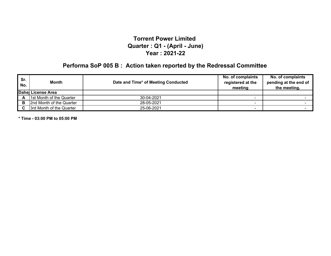# **Performa SoP 005 B : Action taken reported by the Redressal Committee**

| Sr.<br>No. | Month                    | Date and Time* of Meeting Conducted | No. of complaints<br>registered at the<br>meeting | No. of complaints<br>pending at the end of<br>the meeting. |
|------------|--------------------------|-------------------------------------|---------------------------------------------------|------------------------------------------------------------|
|            | Dahei License Area       |                                     |                                                   |                                                            |
| A          | 1st Month of the Quarter | 30-04-2021                          |                                                   |                                                            |
| в          | 2nd Month of the Quarter | 28-05-2021                          |                                                   |                                                            |
|            | 3rd Month of the Quarter | 25-06-2021                          |                                                   |                                                            |

**\* Time - 03:00 PM to 05:00 PM**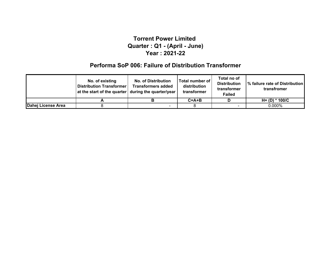### **Performa SoP 006: Failure of Distribution Transformer**

|                    | No. of existing<br><b>Distribution Transformer</b><br>at the start of the quarter during the quarter/year | <b>No. of Distribution</b><br><b>Transformers added</b> | Total number of<br>distribution<br>transformer | Total no of<br><b>Distribution</b><br>transformer<br><b>Failed</b> | 1% failure rate of Distribution<br>transfromer |
|--------------------|-----------------------------------------------------------------------------------------------------------|---------------------------------------------------------|------------------------------------------------|--------------------------------------------------------------------|------------------------------------------------|
|                    | -                                                                                                         |                                                         | $C = A + B$                                    |                                                                    | $H = (D) * 100/C$                              |
| Dahej License Area |                                                                                                           |                                                         |                                                |                                                                    | $0.000\%$                                      |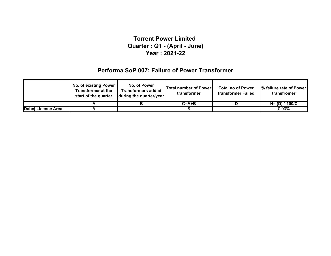### **Performa SoP 007: Failure of Power Transformer**

|                    | <b>No. of existing Power</b><br><b>Transformer at the</b><br>start of the quarter | No. of Power<br><b>Transformers added</b><br>during the quarter/year | <b>Total number of Power</b><br>transformer | <b>Total no of Power</b><br>transformer Failed | I% failure rate of Power I<br>transfromer |
|--------------------|-----------------------------------------------------------------------------------|----------------------------------------------------------------------|---------------------------------------------|------------------------------------------------|-------------------------------------------|
|                    |                                                                                   |                                                                      | $C = A + B$                                 |                                                | $H = (D) * 100/C$                         |
| Dahej License Area |                                                                                   |                                                                      |                                             |                                                | $0.00\%$                                  |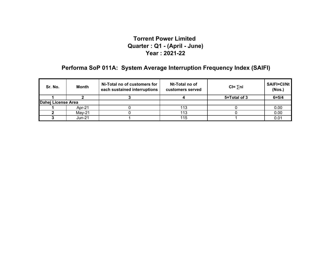### **Performa SoP 011A: System Average Interruption Frequency Index (SAIFI)**

| Sr. No.            | Month    | Ni-Total no of customers for<br>each sustained interruptions | Nt-Total no of<br>customers served | $CI = \sum n_i$ | SAIFI=CI/Nt<br>(Nos.) |
|--------------------|----------|--------------------------------------------------------------|------------------------------------|-----------------|-----------------------|
|                    |          |                                                              |                                    | 5=Total of 3    | $6 = 5/4$             |
| Dahej License Area |          |                                                              |                                    |                 |                       |
|                    | Apr-21   |                                                              |                                    |                 | 0.00                  |
|                    | $Mav-21$ |                                                              | 113                                |                 | 0.00                  |
|                    | Jun-21   |                                                              | 115                                |                 | 0.01                  |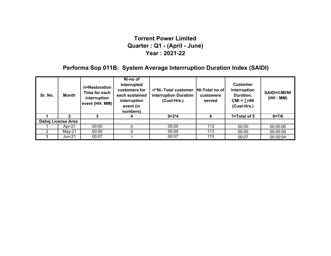### **Performa Sop 011B: System Average Interrruption Duration Index (SAIDI)**

| Sr. No. | Month              | ri=Restoration<br>Time for each<br>interruption<br>event (HH: MM) | Ni-no of<br>interrupted<br>customers for<br>each sustained<br>interruption<br>event (in<br>numbers) | ri*Ni-Total customer<br>interruption Duration<br>(Cust-Hrs.) | <b>Nt-Total no ofl</b><br><b>customers</b><br>served | <b>Customer</b><br>Interruption<br>Duration.<br>$CMI = \sum r i Ni$<br>(Cust-Hrs.) | <b>SAIDI=CMI/Nt</b><br>(HH : MM) |
|---------|--------------------|-------------------------------------------------------------------|-----------------------------------------------------------------------------------------------------|--------------------------------------------------------------|------------------------------------------------------|------------------------------------------------------------------------------------|----------------------------------|
|         |                    |                                                                   |                                                                                                     | $5 = 3*4$                                                    | 6                                                    | 7=Total of 5                                                                       | $8 = 7/6$                        |
|         | Dahej License Area |                                                                   |                                                                                                     |                                                              |                                                      |                                                                                    |                                  |
|         | Apr-21             | 00:00                                                             |                                                                                                     | 00:00                                                        | 113                                                  | 00:00                                                                              | 00:00:00                         |
|         | May-21             | 00:00                                                             |                                                                                                     | 00:00                                                        | 113                                                  | 00:00                                                                              | 00:00:00                         |
|         | Jun-21             | 00:07                                                             |                                                                                                     | 00:07                                                        | 115                                                  | 00:07                                                                              | 00:00:04                         |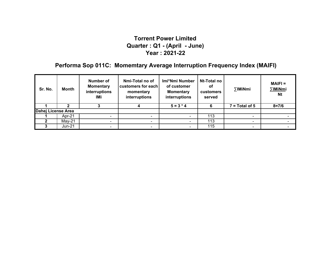## **Performa Sop 011C: Momemtary Average Interruption Frequency Index (MAIFI)**

| Sr. No.            | Month    | Number of<br><b>Momentary</b><br>interruptions<br>IMi | Nmi-Total no of<br>customers for each<br>momentary<br>interruptions | Imi*Nmi Number<br>of customer<br><b>Momentary</b><br>interruptions | Nt-Total no<br>оf<br><b>customers</b><br>served | ∑IMiNmi          | $MAIFI =$<br>∑IMiNmi<br><b>Nt</b> |
|--------------------|----------|-------------------------------------------------------|---------------------------------------------------------------------|--------------------------------------------------------------------|-------------------------------------------------|------------------|-----------------------------------|
|                    |          |                                                       |                                                                     | $5 = 3 * 4$                                                        | 6                                               | $7 = Total of 5$ | $8 = 7/6$                         |
| Dahej License Area |          |                                                       |                                                                     |                                                                    |                                                 |                  |                                   |
|                    | Apr-21   |                                                       |                                                                     |                                                                    | 113                                             |                  |                                   |
|                    | $May-21$ | $\sim$                                                | $\sim$                                                              | ۰                                                                  | 113                                             | $\blacksquare$   |                                   |
|                    | Jun-21   |                                                       |                                                                     |                                                                    | 115                                             |                  |                                   |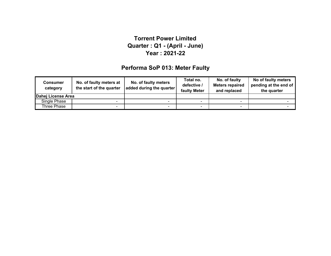### **Performa SoP 013: Meter Faulty**

| <b>Consumer</b><br>category | No. of faulty meters at<br>the start of the quarter | No. of faulty meters<br>added during the quarter | Total no.<br>defective /<br>faulty Meter | No. of faulty<br><b>Meters repaired</b><br>and replaced | No of faulty meters<br>pending at the end of<br>the quarter |
|-----------------------------|-----------------------------------------------------|--------------------------------------------------|------------------------------------------|---------------------------------------------------------|-------------------------------------------------------------|
| Dahej License Area          |                                                     |                                                  |                                          |                                                         |                                                             |
| Single Phase                |                                                     |                                                  |                                          |                                                         |                                                             |
| Three Phase                 | -                                                   |                                                  |                                          |                                                         |                                                             |